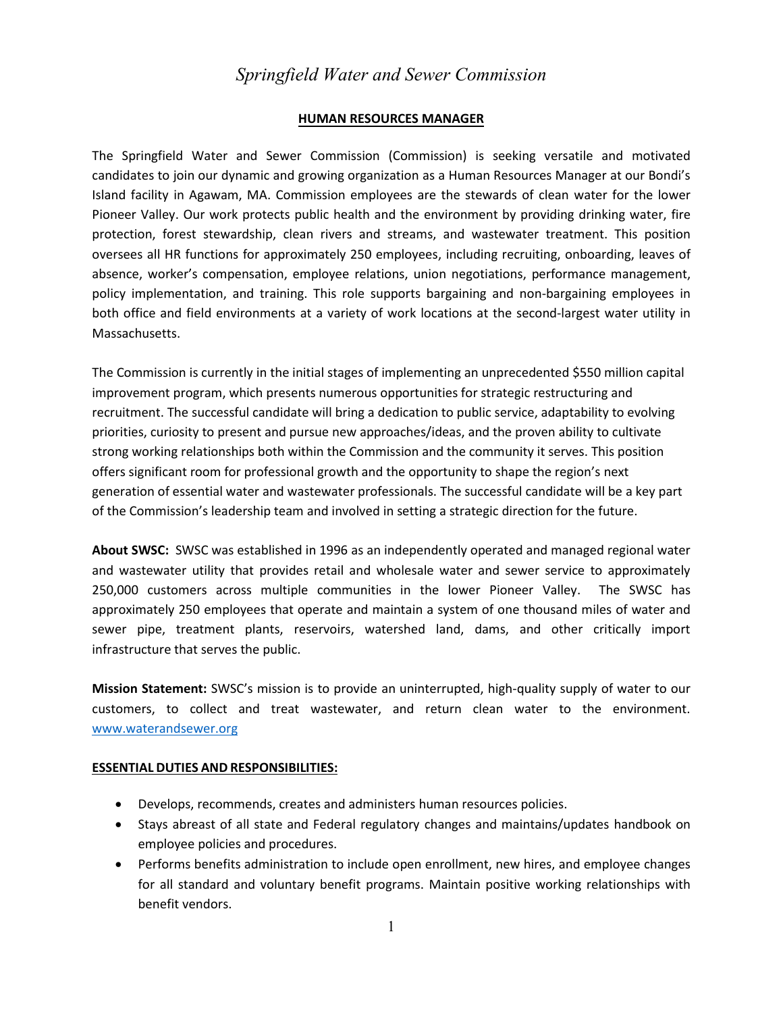# *Springfield Water and Sewer Commission*

#### **HUMAN RESOURCES MANAGER**

The Springfield Water and Sewer Commission (Commission) is seeking versatile and motivated candidates to join our dynamic and growing organization as a Human Resources Manager at our Bondi's Island facility in Agawam, MA. Commission employees are the stewards of clean water for the lower Pioneer Valley. Our work protects public health and the environment by providing drinking water, fire protection, forest stewardship, clean rivers and streams, and wastewater treatment. This position oversees all HR functions for approximately 250 employees, including recruiting, onboarding, leaves of absence, worker's compensation, employee relations, union negotiations, performance management, policy implementation, and training. This role supports bargaining and non-bargaining employees in both office and field environments at a variety of work locations at the second-largest water utility in Massachusetts.

The Commission is currently in the initial stages of implementing an unprecedented \$550 million capital improvement program, which presents numerous opportunities for strategic restructuring and recruitment. The successful candidate will bring a dedication to public service, adaptability to evolving priorities, curiosity to present and pursue new approaches/ideas, and the proven ability to cultivate strong working relationships both within the Commission and the community it serves. This position offers significant room for professional growth and the opportunity to shape the region's next generation of essential water and wastewater professionals. The successful candidate will be a key part of the Commission's leadership team and involved in setting a strategic direction for the future.

**About SWSC:** SWSC was established in 1996 as an independently operated and managed regional water and wastewater utility that provides retail and wholesale water and sewer service to approximately 250,000 customers across multiple communities in the lower Pioneer Valley. The SWSC has approximately 250 employees that operate and maintain a system of one thousand miles of water and sewer pipe, treatment plants, reservoirs, watershed land, dams, and other critically import infrastructure that serves the public.

**Mission Statement:** SWSC's mission is to provide an uninterrupted, high-quality supply of water to our customers, to collect and treat wastewater, and return clean water to the environment. [www.waterandsewer.org](http://www.waterandsewer.org/)

#### **ESSENTIAL DUTIES AND RESPONSIBILITIES:**

- Develops, recommends, creates and administers human resources policies.
- Stays abreast of all state and Federal regulatory changes and maintains/updates handbook on employee policies and procedures.
- Performs benefits administration to include open enrollment, new hires, and employee changes for all standard and voluntary benefit programs. Maintain positive working relationships with benefit vendors.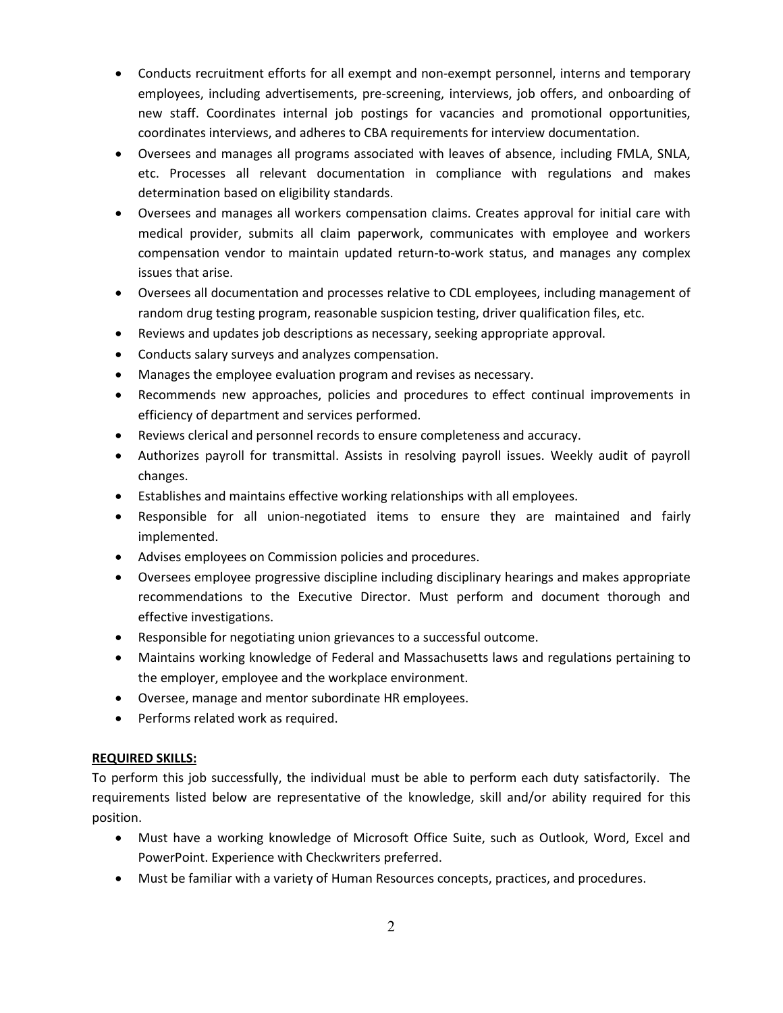- Conducts recruitment efforts for all exempt and non-exempt personnel, interns and temporary employees, including advertisements, pre-screening, interviews, job offers, and onboarding of new staff. Coordinates internal job postings for vacancies and promotional opportunities, coordinates interviews, and adheres to CBA requirements for interview documentation.
- Oversees and manages all programs associated with leaves of absence, including FMLA, SNLA, etc. Processes all relevant documentation in compliance with regulations and makes determination based on eligibility standards.
- Oversees and manages all workers compensation claims. Creates approval for initial care with medical provider, submits all claim paperwork, communicates with employee and workers compensation vendor to maintain updated return-to-work status, and manages any complex issues that arise.
- Oversees all documentation and processes relative to CDL employees, including management of random drug testing program, reasonable suspicion testing, driver qualification files, etc.
- Reviews and updates job descriptions as necessary, seeking appropriate approval.
- Conducts salary surveys and analyzes compensation.
- Manages the employee evaluation program and revises as necessary.
- Recommends new approaches, policies and procedures to effect continual improvements in efficiency of department and services performed.
- Reviews clerical and personnel records to ensure completeness and accuracy.
- Authorizes payroll for transmittal. Assists in resolving payroll issues. Weekly audit of payroll changes.
- Establishes and maintains effective working relationships with all employees.
- Responsible for all union-negotiated items to ensure they are maintained and fairly implemented.
- Advises employees on Commission policies and procedures.
- Oversees employee progressive discipline including disciplinary hearings and makes appropriate recommendations to the Executive Director. Must perform and document thorough and effective investigations.
- Responsible for negotiating union grievances to a successful outcome.
- Maintains working knowledge of Federal and Massachusetts laws and regulations pertaining to the employer, employee and the workplace environment.
- Oversee, manage and mentor subordinate HR employees.
- Performs related work as required.

### **REQUIRED SKILLS:**

To perform this job successfully, the individual must be able to perform each duty satisfactorily. The requirements listed below are representative of the knowledge, skill and/or ability required for this position.

- Must have a working knowledge of Microsoft Office Suite, such as Outlook, Word, Excel and PowerPoint. Experience with Checkwriters preferred.
- Must be familiar with a variety of Human Resources concepts, practices, and procedures.